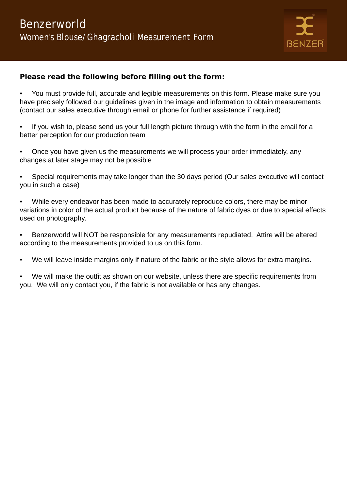

### **Please read the following before filling out the form:**

- You must provide full, accurate and legible measurements on this form. Please make sure you have precisely followed our guidelines given in the image and information to obtain measurements (contact our sales executive through email or phone for further assistance if required)
- If you wish to, please send us your full length picture through with the form in the email for a better perception for our production team
- Once you have given us the measurements we will process your order immediately, any changes at later stage may not be possible
- Special requirements may take longer than the 30 days period (Our sales executive will contact you in such a case)
- While every endeavor has been made to accurately reproduce colors, there may be minor variations in color of the actual product because of the nature of fabric dyes or due to special effects used on photography.
- Benzerworld will NOT be responsible for any measurements repudiated. Attire will be altered according to the measurements provided to us on this form.
- We will leave inside margins only if nature of the fabric or the style allows for extra margins.
- We will make the outfit as shown on our website, unless there are specific requirements from you. We will only contact you, if the fabric is not available or has any changes.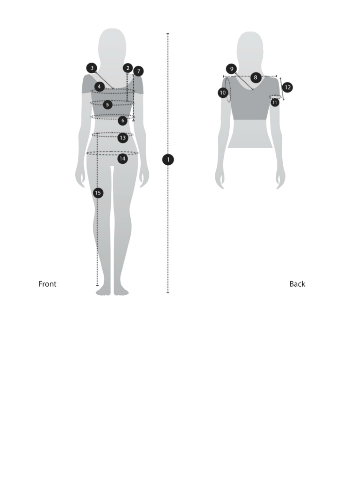



Back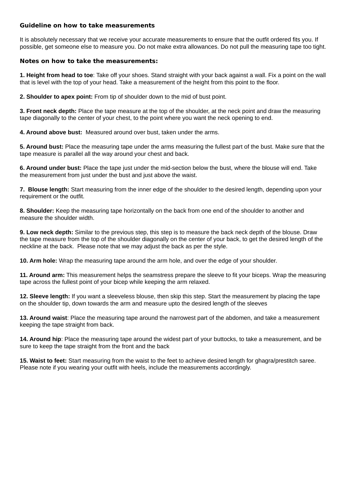#### **Guideline on how to take measurements**

It is absolutely necessary that we receive your accurate measurements to ensure that the outfit ordered fits you. If possible, get someone else to measure you. Do not make extra allowances. Do not pull the measuring tape too tight.

#### **Notes on how to take the measurements:**

**1. Height from head to toe**: Take off your shoes. Stand straight with your back against a wall. Fix a point on the wall that is level with the top of your head. Take a measurement of the height from this point to the floor.

**2. Shoulder to apex point:** From tip of shoulder down to the mid of bust point.

**3. Front neck depth:** Place the tape measure at the top of the shoulder, at the neck point and draw the measuring tape diagonally to the center of your chest, to the point where you want the neck opening to end.

**4. Around above bust:** Measured around over bust, taken under the arms.

**5. Around bust:** Place the measuring tape under the arms measuring the fullest part of the bust. Make sure that the tape measure is parallel all the way around your chest and back.

**6. Around under bust:** Place the tape just under the mid-section below the bust, where the blouse will end. Take the measurement from just under the bust and just above the waist.

**7. Blouse length:** Start measuring from the inner edge of the shoulder to the desired length, depending upon your requirement or the outfit.

**8. Shoulder:** Keep the measuring tape horizontally on the back from one end of the shoulder to another and measure the shoulder width.

**9. Low neck depth:** Similar to the previous step, this step is to measure the back neck depth of the blouse. Draw the tape measure from the top of the shoulder diagonally on the center of your back, to get the desired length of the neckline at the back. Please note that we may adjust the back as per the style.

**10. Arm hole:** Wrap the measuring tape around the arm hole, and over the edge of your shoulder.

**11. Around arm:** This measurement helps the seamstress prepare the sleeve to fit your biceps. Wrap the measuring tape across the fullest point of your bicep while keeping the arm relaxed.

**12. Sleeve length:** If you want a sleeveless blouse, then skip this step. Start the measurement by placing the tape on the shoulder tip, down towards the arm and measure upto the desired length of the sleeves

**13. Around waist**: Place the measuring tape around the narrowest part of the abdomen, and take a measurement keeping the tape straight from back.

**14. Around hip**: Place the measuring tape around the widest part of your buttocks, to take a measurement, and be sure to keep the tape straight from the front and the back

**15. Waist to feet:** Start measuring from the waist to the feet to achieve desired length for ghagra/prestitch saree. Please note if you wearing your outfit with heels, include the measurements accordingly.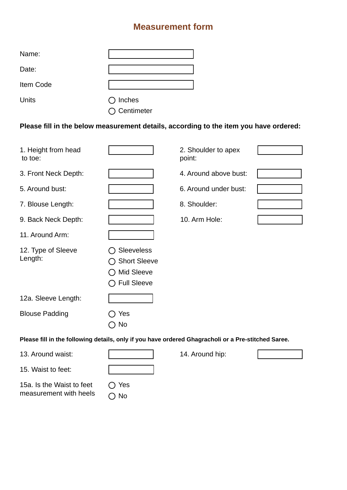# **Measurement form**

| Name:        |                       |
|--------------|-----------------------|
| Date:        |                       |
| Item Code    |                       |
| <b>Units</b> | $\bigcirc$ Inches     |
|              | $\bigcirc$ Centimeter |

**Please fill in the below measurement details, according to the item you have ordered:** 

| 1. Height from head<br>to toe:                                                                      |                                                                              | 2. Shoulder to apex<br>point: |  |  |
|-----------------------------------------------------------------------------------------------------|------------------------------------------------------------------------------|-------------------------------|--|--|
| 3. Front Neck Depth:                                                                                |                                                                              | 4. Around above bust:         |  |  |
| 5. Around bust:                                                                                     |                                                                              | 6. Around under bust:         |  |  |
| 7. Blouse Length:                                                                                   |                                                                              | 8. Shoulder:                  |  |  |
| 9. Back Neck Depth:                                                                                 |                                                                              | 10. Arm Hole:                 |  |  |
| 11. Around Arm:                                                                                     |                                                                              |                               |  |  |
| 12. Type of Sleeve<br>Length:                                                                       | Sleeveless<br><b>Short Sleeve</b><br><b>Mid Sleeve</b><br><b>Full Sleeve</b> |                               |  |  |
| 12a. Sleeve Length:                                                                                 |                                                                              |                               |  |  |
| <b>Blouse Padding</b>                                                                               | Yes<br>No                                                                    |                               |  |  |
| Please fill in the following details, only if you have ordered Ghagracholi or a Pre-stitched Saree. |                                                                              |                               |  |  |
| 13. Around waist:                                                                                   |                                                                              | 14. Around hip:               |  |  |

15. Waist to feet:

15a. Is the Waist to feet measurement with heels O Yes O No